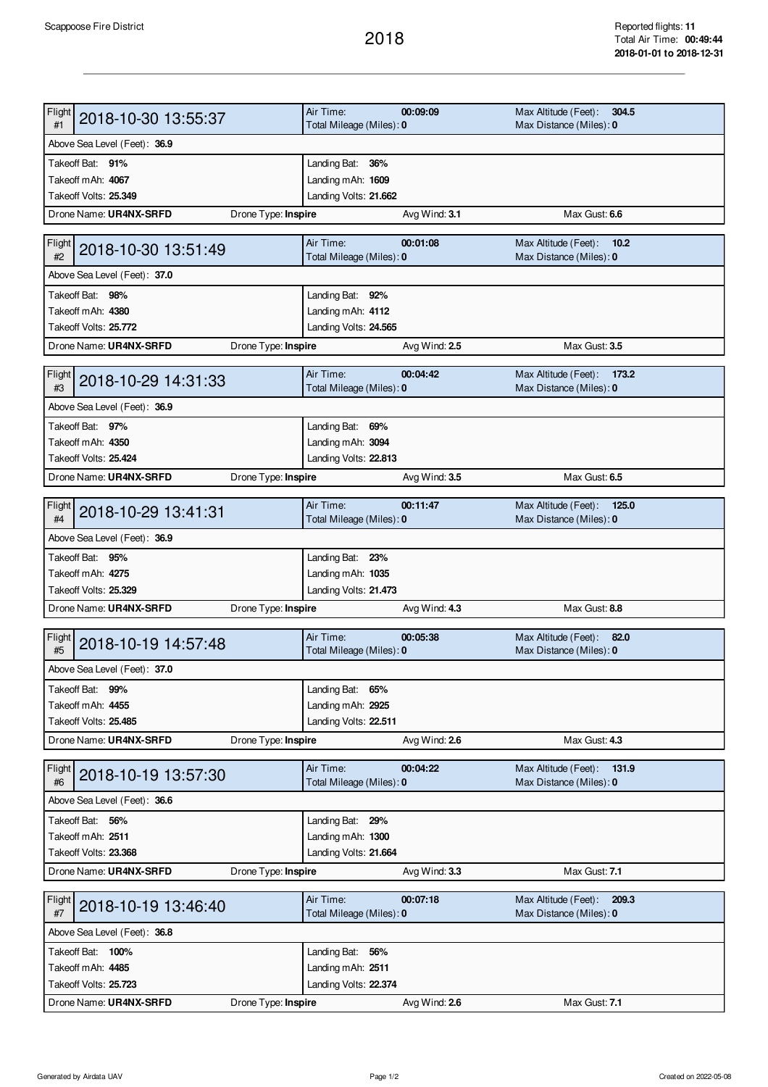## 2018

| Flight<br>2018-10-30 13:55:37                 | Air Time:                                  | 00:09:09      | Max Altitude (Feet):<br>304.5                            |  |  |  |
|-----------------------------------------------|--------------------------------------------|---------------|----------------------------------------------------------|--|--|--|
| #1                                            | Total Mileage (Miles): 0                   |               | Max Distance (Miles): 0                                  |  |  |  |
| Above Sea Level (Feet): 36.9                  |                                            |               |                                                          |  |  |  |
| Takeoff Bat: 91%                              | Landing Bat: 36%                           |               |                                                          |  |  |  |
| Takeoff mAh: 4067                             | Landing mAh: 1609                          |               |                                                          |  |  |  |
| Takeoff Volts: 25.349                         | Landing Volts: 21.662                      |               |                                                          |  |  |  |
| Drone Name: UR4NX-SRFD<br>Drone Type: Inspire |                                            | Avg Wind: 3.1 | Max Gust: 6.6                                            |  |  |  |
| Flight                                        | Air Time:                                  | 00:01:08      | Max Altitude (Feet):<br>10.2                             |  |  |  |
| 2018-10-30 13:51:49<br>#2                     | Total Mileage (Miles): 0                   |               | Max Distance (Miles): 0                                  |  |  |  |
| Above Sea Level (Feet): 37.0                  |                                            |               |                                                          |  |  |  |
| Takeoff Bat: 98%                              | Landing Bat: 92%                           |               |                                                          |  |  |  |
| Takeoff mAh: 4380                             | Landing mAh: 4112                          |               |                                                          |  |  |  |
| Takeoff Volts: 25.772                         | Landing Volts: 24.565                      |               |                                                          |  |  |  |
| Drone Name: UR4NX-SRFD<br>Drone Type: Inspire |                                            | Avg Wind: 2.5 | Max Gust: 3.5                                            |  |  |  |
|                                               |                                            |               |                                                          |  |  |  |
| Flight<br>2018-10-29 14:31:33<br>#3           | Air Time:<br>Total Mileage (Miles): 0      | 00:04:42      | Max Altitude (Feet):<br>173.2<br>Max Distance (Miles): 0 |  |  |  |
| Above Sea Level (Feet): 36.9                  |                                            |               |                                                          |  |  |  |
|                                               |                                            |               |                                                          |  |  |  |
| Takeoff Bat: 97%<br>Takeoff mAh: 4350         | Landing Bat: 69%<br>Landing mAh: 3094      |               |                                                          |  |  |  |
| Takeoff Volts: 25.424                         | Landing Volts: 22.813                      |               |                                                          |  |  |  |
| Drone Name: UR4NX-SRFD                        |                                            |               | Max Gust: 6.5                                            |  |  |  |
| Drone Type: Inspire                           |                                            | Avg Wind: 3.5 |                                                          |  |  |  |
| Flight<br>2018-10-29 13:41:31                 | Air Time:                                  | 00:11:47      | Max Altitude (Feet):<br>125.0                            |  |  |  |
| #4                                            | Total Mileage (Miles): 0                   |               | Max Distance (Miles): 0                                  |  |  |  |
| Above Sea Level (Feet): 36.9                  |                                            |               |                                                          |  |  |  |
| Takeoff Bat: 95%                              | Landing Bat: 23%                           |               |                                                          |  |  |  |
| Takeoff mAh: 4275                             | Landing mAh: 1035                          |               |                                                          |  |  |  |
| Takeoff Volts: 25.329                         | Landing Volts: 21.473                      |               |                                                          |  |  |  |
| Drone Name: UR4NX-SRFD<br>Drone Type: Inspire |                                            | Avg Wind: 4.3 | Max Gust: 8.8                                            |  |  |  |
|                                               |                                            |               |                                                          |  |  |  |
|                                               |                                            |               |                                                          |  |  |  |
| Flight<br>2018-10-19 14:57:48<br>#5           | Air Time:                                  | 00:05:38      | Max Altitude (Feet):<br>82.0                             |  |  |  |
|                                               | Total Mileage (Miles): 0                   |               | Max Distance (Miles): 0                                  |  |  |  |
| Above Sea Level (Feet): 37.0                  |                                            |               |                                                          |  |  |  |
| Takeoff Bat: 99%                              | Landing Bat: 65%                           |               |                                                          |  |  |  |
| Takeoff mAh: 4455<br>Takeoff Volts: 25.485    | Landing mAh: 2925                          |               |                                                          |  |  |  |
|                                               | Landing Volts: 22.511                      |               |                                                          |  |  |  |
| Drone Name: UR4NX-SRFD<br>Drone Type: Inspire |                                            | Avg Wind: 2.6 | Max Gust: 4.3                                            |  |  |  |
| Flight                                        | Air Time:                                  | 00:04:22      | Max Altitude (Feet):<br>131.9                            |  |  |  |
| 2018-10-19 13:57:30<br>#6                     | Total Mileage (Miles): 0                   |               | Max Distance (Miles): 0                                  |  |  |  |
| Above Sea Level (Feet): 36.6                  |                                            |               |                                                          |  |  |  |
| Takeoff Bat: 56%                              | Landing Bat: 29%                           |               |                                                          |  |  |  |
| Takeoff mAh: 2511                             | Landing mAh: 1300                          |               |                                                          |  |  |  |
| Takeoff Volts: 23.368                         | Landing Volts: 21.664                      |               |                                                          |  |  |  |
| Drone Name: UR4NX-SRFD<br>Drone Type: Inspire |                                            | Avg Wind: 3.3 | Max Gust: 7.1                                            |  |  |  |
|                                               | Air Time:                                  | 00:07:18      | 209.3                                                    |  |  |  |
| <b>Flight</b><br>2018-10-19 13:46:40<br>#7    | Total Mileage (Miles): 0                   |               | Max Altitude (Feet):<br>Max Distance (Miles): 0          |  |  |  |
| Above Sea Level (Feet): 36.8                  |                                            |               |                                                          |  |  |  |
| Takeoff Bat: 100%                             |                                            |               |                                                          |  |  |  |
| Takeoff mAh: 4485                             | Landing Bat: 56%                           |               |                                                          |  |  |  |
| Takeoff Volts: 25.723                         | Landing mAh: 2511<br>Landing Volts: 22.374 |               |                                                          |  |  |  |
| Drone Name: UR4NX-SRFD<br>Drone Type: Inspire |                                            | Avg Wind: 2.6 | Max Gust: 7.1                                            |  |  |  |